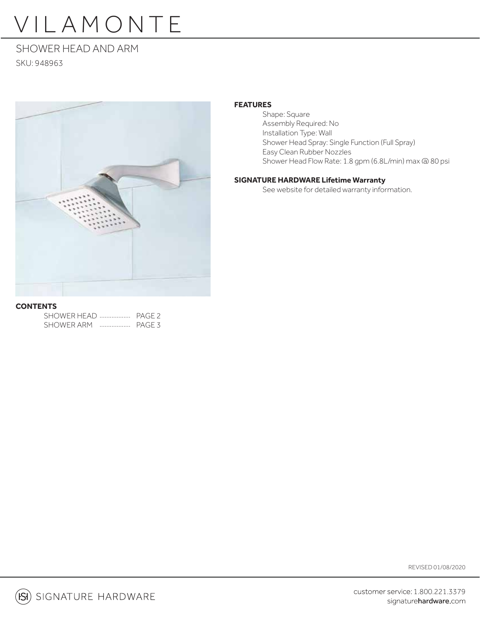# VILAMONTE

# SHOWER HEAD AND ARM SKU: 948963



## **FEATURES**

 Shape: Square Assembly Required: No Installation Type: Wall Shower Head Spray: Single Function (Full Spray) Easy Clean Rubber Nozzles Shower Head Flow Rate: 1.8 gpm (6.8L/min) max @ 80 psi

### **SIGNATURE HARDWARE Lifetime Warranty**

See website for detailed warranty information.

# **CONTENTS**

| SHOWER HEAD  PAGE 2 |   |        |
|---------------------|---|--------|
| SHOWER ARM          | . | PAGE 3 |

REVISED 01/08/2020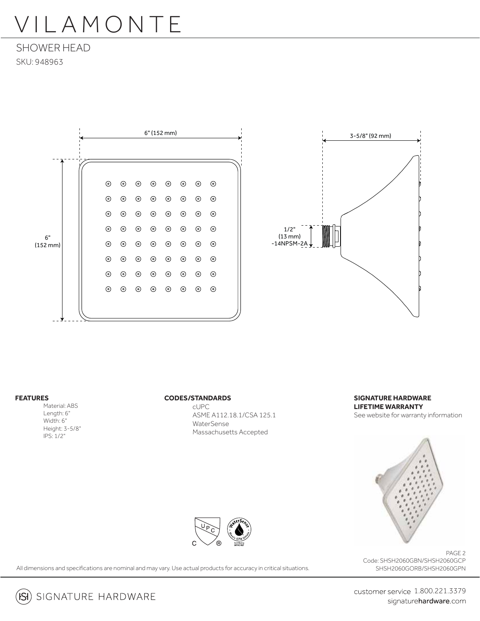# VILAMONTE

SHOWER HEAD SKU: 948963





#### **FEATURES**

 Material: ABS Length: 6" Width: 6" Height: 3-5/8" IPS: 1/2"

#### **CODES/STANDARDS**

 cUPC ASME A112.18.1/CSA 125.1 WaterSense Massachusetts Accepted

**SIGNATURE HARDWARE LIFETIME WARRANTY** See website for warranty information



All dimensions and specifications are nominal and may vary. Use actual products for accuracy in critical situations.

PAGE 2 Code: SHSH2060GBN/SHSH2060GCP SHSH2060GORB/SHSH2060GPN



customer service 1.800.221.3379 signaturehardware.com